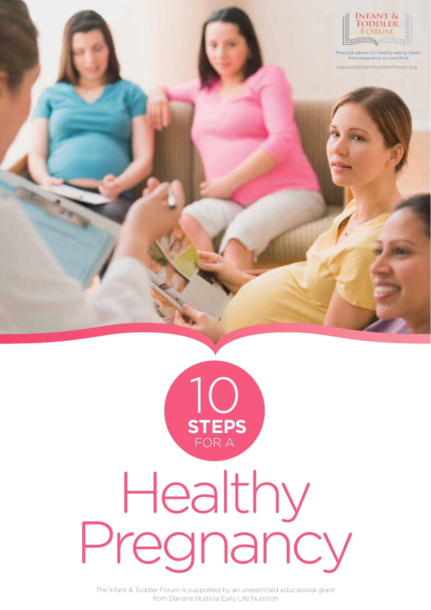

www.infantandtoddlerforum.org Practical advice for healthy eating habits from pregnancy to preschool



# Healthy Pregnancy

The Infant & Toddler Forum is supported by an unrestricted educational grant from Danone Nutricia Early Life Nutrition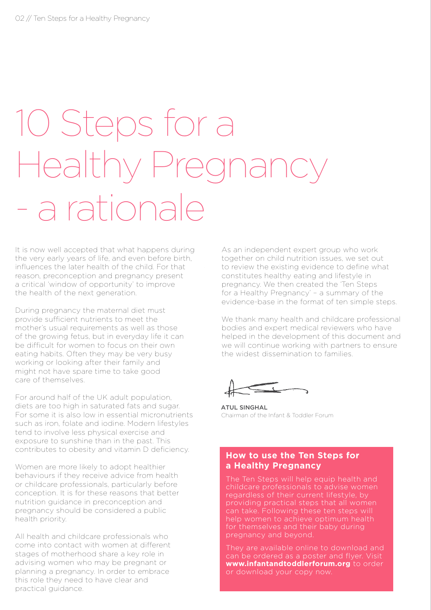## 10 Steps for a Healthy Pregnanc - a rationale

It is now well accepted that what happens during the very early years of life, and even before birth, influences the later health of the child. For that reason, preconception and pregnancy present a critical 'window of opportunity' to improve the health of the next generation.

During pregnancy the maternal diet must provide sufficient nutrients to meet the mother's usual requirements as well as those of the growing fetus, but in everyday life it can be difficult for women to focus on their own eating habits. Often they may be very busy working or looking after their family and might not have spare time to take good care of themselves.

For around half of the UK adult population, diets are too high in saturated fats and sugar. For some it is also low in essential micronutrients such as iron, folate and iodine. Modern lifestyles tend to involve less physical exercise and exposure to sunshine than in the past. This contributes to obesity and vitamin D deficiency.

Women are more likely to adopt healthier behaviours if they receive advice from health or childcare professionals, particularly before conception. It is for these reasons that better nutrition guidance in preconception and pregnancy should be considered a public health priority.

All health and childcare professionals who come into contact with women at different stages of motherhood share a key role in advising women who may be pregnant or planning a pregnancy. In order to embrace this role they need to have clear and practical guidance.

As an independent expert group who work together on child nutrition issues, we set out to review the existing evidence to define what constitutes healthy eating and lifestyle in pregnancy. We then created the 'Ten Steps for a Healthy Pregnancy' – a summary of the evidence-base in the format of ten simple steps.

We thank many health and childcare professional bodies and expert medical reviewers who have helped in the development of this document and we will continue working with partners to ensure the widest dissemination to families.

ATUL SINGHAL Chairman of the Infant & Toddler Forum

### **How to use the Ten Steps for a Healthy Pregnancy**

The Ten Steps will help equip health and regardless of their current lifestyle, by providing practical steps that all women can take. Following these ten steps will help women to achieve optimum health for themselves and their baby during pregnancy and beyond.

They are available online to download and can be ordered as a poster and flyer. Visit **www.infantandtoddlerforum.org** to order or download your copy now.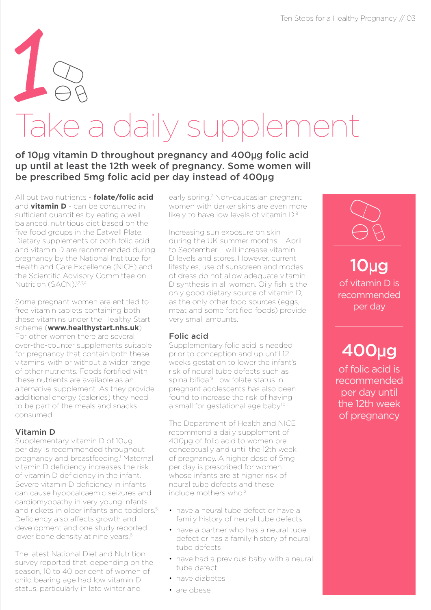# Take a daily supplement 1

### of 10µg vitamin D throughout pregnancy and 400µg folic acid up until at least the 12th week of pregnancy. Some women will be prescribed 5mg folic acid per day instead of 400µg

All but two nutrients - **folate/folic acid** and **vitamin D** - can be consumed in sufficient quantities by eating a wellbalanced, nutritious diet based on the five food groups in the Eatwell Plate. Dietary supplements of both folic acid and vitamin D are recommended during pregnancy by the National Institute for Health and Care Excellence (NICE) and the Scientific Advisory Committee on Nutrition (SACN).<sup>1,2,3,4</sup>

Some pregnant women are entitled to free vitamin tablets containing both these vitamins under the Healthy Start scheme (**www.healthystart.nhs.uk**). For other women there are several over-the-counter supplements suitable for pregnancy that contain both these vitamins, with or without a wider range of other nutrients. Foods fortified with these nutrients are available as an alternative supplement. As they provide additional energy (calories) they need to be part of the meals and snacks consumed.

### Vitamin D

Supplementary vitamin D of 10µg per day is recommended throughout pregnancy and breastfeeding.<sup>1</sup> Maternal vitamin D deficiency increases the risk of vitamin D deficiency in the infant. Severe vitamin D deficiency in infants can cause hypocalcaemic seizures and cardiomyopathy in very young infants and rickets in older infants and toddlers.<sup>5</sup> Deficiency also affects growth and development and one study reported lower bone density at nine years.<sup>6</sup>

The latest National Diet and Nutrition survey reported that, depending on the season, 10 to 40 per cent of women of child bearing age had low vitamin D status, particularly in late winter and

early spring.<sup>7</sup> Non-caucasian pregnant women with darker skins are even more likely to have low levels of vitamin  $D^8$ 

Increasing sun exposure on skin during the UK summer months – April to September – will increase vitamin D levels and stores. However, current lifestyles, use of sunscreen and modes of dress do not allow adequate vitamin D synthesis in all women. Oily fish is the only good dietary source of vitamin D, as the only other food sources (eggs, meat and some fortified foods) provide very small amounts.

### Folic acid

Supplementary folic acid is needed prior to conception and up until 12 weeks gestation to lower the infant's risk of neural tube defects such as spina bifida.<sup>9</sup> Low folate status in pregnant adolescents has also been found to increase the risk of having a small for gestational age baby.<sup>10</sup>

The Department of Health and NICE recommend a daily supplement of 400µg of folic acid to women preconceptually and until the 12th week of pregnancy. A higher dose of 5mg per day is prescribed for women whose infants are at higher risk of neural tube defects and these include mothers who:2

- have a neural tube defect or have a family history of neural tube defects
- have a partner who has a neural tube defect or has a family history of neural tube defects
- have had a previous baby with a neural tube defect
- have diabetes
- are obese



of vitamin D is recommended per day 10µg

### 400µg

of folic acid is recommended per day until the 12th week of pregnancy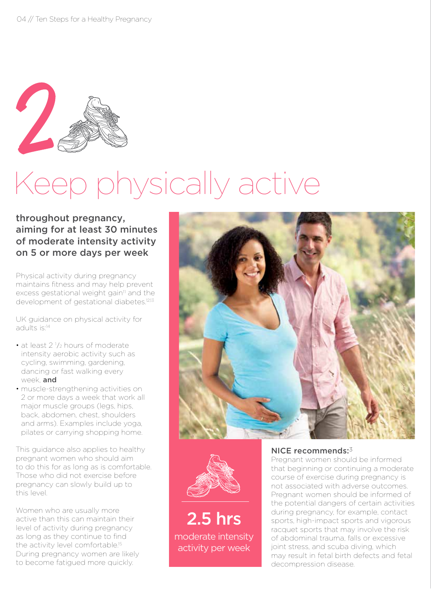

## Keep physically active

### throughout pregnancy, aiming for at least 30 minutes of moderate intensity activity on 5 or more days per week

Physical activity during pregnancy maintains fitness and may help prevent excess gestational weight gain<sup>11</sup> and the development of gestational diabetes.<sup>12,13</sup>

UK guidance on physical activity for adults is:14

- $\cdot$  at least 2  $\frac{1}{2}$  hours of moderate intensity aerobic activity such as cycling, swimming, gardening, dancing or fast walking every week and
- muscle-strengthening activities on 2 or more days a week that work all major muscle groups (legs, hips, back, abdomen, chest, shoulders and arms). Examples include yoga, pilates or carrying shopping home.

This guidance also applies to healthy pregnant women who should aim to do this for as long as is comfortable. Those who did not exercise before pregnancy can slowly build up to this level.

Women who are usually more active than this can maintain their level of activity during pregnancy as long as they continue to find the activity level comfortable.<sup>15</sup> During pregnancy women are likely to become fatigued more quickly.





moderate intensity activity per week 2.5 hrs

#### NICE recommends:3

Pregnant women should be informed that beginning or continuing a moderate course of exercise during pregnancy is not associated with adverse outcomes. Pregnant women should be informed of the potential dangers of certain activities during pregnancy, for example, contact sports, high-impact sports and vigorous racquet sports that may involve the risk of abdominal trauma, falls or excessive joint stress, and scuba diving, which may result in fetal birth defects and fetal decompression disease.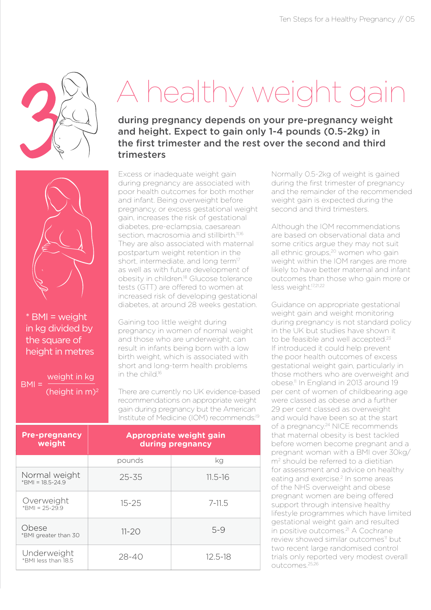

\* BMI = weight in kg divided by the square of height in metres

weight in kg

(height in m)2

 $BMI =$ 

### A healthy weight gain

during pregnancy depends on your pre-pregnancy weight and height. Expect to gain only 1-4 pounds (0.5-2kg) in the first trimester and the rest over the second and third trimesters

Excess or inadequate weight gain during pregnancy are associated with poor health outcomes for both mother and infant. Being overweight before pregnancy, or excess gestational weight gain, increases the risk of gestational diabetes, pre-eclampsia, caesarean section, macrosomia and stillbirth.<sup>11,16</sup> They are also associated with maternal postpartum weight retention in the short, intermediate, and long term<sup>17</sup> as well as with future development of obesity in children.18 Glucose tolerance tests (GTT) are offered to women at increased risk of developing gestational diabetes, at around 28 weeks gestation.

Gaining too little weight during pregnancy in women of normal weight and those who are underweight, can result in infants being born with a low birth weight, which is associated with short and long-term health problems in the child.16

There are currently no UK evidence-based recommendations on appropriate weight gain during pregnancy but the American Institute of Medicine (IOM) recommends:19

| <b>Pre-pregnancy</b><br>weight       | <b>Appropriate weight gain</b><br>during pregnancy |             |
|--------------------------------------|----------------------------------------------------|-------------|
|                                      | pounds                                             | kg          |
| Normal weight<br>$*$ BMI = 18.5-24.9 | $25 - 35$                                          | $11.5 - 16$ |
| Overweight<br>$*$ BMI = 25-29.9      | $15 - 25$                                          | $7 - 11.5$  |
| Obese<br>*BMI greater than 30        | $11 - 20$                                          | $5 - 9$     |
| Underweight<br>*BMI less than 18.5   | $28 - 40$                                          | $12.5 - 18$ |

Normally 0.5-2kg of weight is gained during the first trimester of pregnancy and the remainder of the recommended weight gain is expected during the second and third trimesters.

Although the IOM recommendations are based on observational data and some critics argue they may not suit all ethnic groups,<sup>20</sup> women who gain weight within the IOM ranges are more likely to have better maternal and infant outcomes than those who gain more or less weight.<sup>17,21,22</sup>

Guidance on appropriate gestational weight gain and weight monitoring during pregnancy is not standard policy in the UK but studies have shown it to be feasible and well accepted.<sup>23</sup> If introduced it could help prevent the poor health outcomes of excess gestational weight gain, particularly in those mothers who are overweight and obese.<sup>11</sup> In England in 2013 around 19 per cent of women of childbearing age were classed as obese and a further 29 per cent classed as overweight and would have been so at the start of a pregnancy.<sup>24</sup> NICE recommends that maternal obesity is best tackled before women become pregnant and a pregnant woman with a BMI over 30kg/ m<sup>2</sup> should be referred to a dietitian for assessment and advice on healthy eating and exercise.<sup>2</sup> In some areas of the NHS overweight and obese pregnant women are being offered support through intensive healthy lifestyle programmes which have limited gestational weight gain and resulted in positive outcomes.21 A Cochrane review showed similar outcomes<sup>11</sup> but two recent large randomised control trials only reported very modest overall outcomes.25,26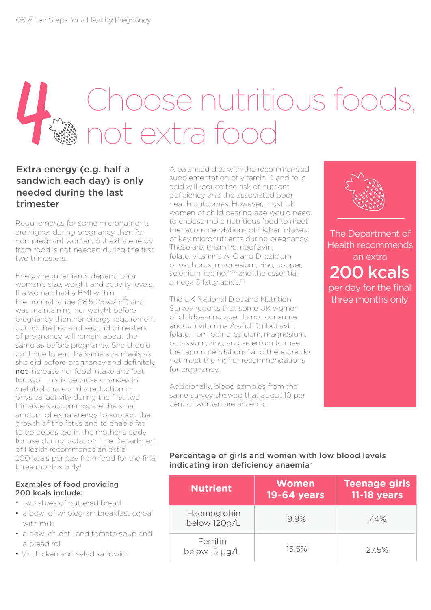### Choose nutritious foods, not extra food

### Extra energy (e.g. half a sandwich each day) is only needed during the last trimester

Requirements for some micronutrients are higher during pregnancy than for non-pregnant women, but extra energy from food is not needed during the first two trimesters.

Energy requirements depend on a woman's size, weight and activity levels. If a woman had a BMI within the normal range (18.5-25 $kg/m^2$ ) and was maintaining her weight before pregnancy then her energy requirement during the first and second trimesters of pregnancy will remain about the same as before pregnancy. She should continue to eat the same size meals as she did before pregnancy and definitely not increase her food intake and 'eat for two'. This is because changes in metabolic rate and a reduction in physical activity during the first two trimesters accommodate the small amount of extra energy to support the growth of the fetus and to enable fat to be deposited in the mother's body for use during lactation. The Department of Health recommends an extra 200 kcals per day from food for the final three months only.<sup>1</sup>

#### Examples of food providing 200 kcals include:

- two slices of buttered bread
- a bowl of wholegrain breakfast cereal with milk
- a bowl of lentil and tomato soup and a bread roll
- $\cdot$   $\frac{1}{2}$  chicken and salad sandwich

A balanced diet with the recommended supplementation of vitamin D and folic acid will reduce the risk of nutrient deficiency and the associated poor health outcomes. However, most UK women of child bearing age would need to choose more nutritious food to meet the recommendations of higher intakes of key micronutrients during pregnancy. These are: thiamine, riboflavin, folate, vitamins A, C and D, calcium, phosphorus, magnesium, zinc, copper, selenium, iodine.<sup>27,28</sup> and the essential omega 3 fatty acids.29

The UK National Diet and Nutrition Survey reports that some UK women of childbearing age do not consume enough vitamins A and D, riboflavin, folate, iron, iodine, calcium, magnesium, potassium, zinc, and selenium to meet the recommendations<sup>7</sup> and therefore do not meet the higher recommendations for pregnancy.

Additionally, blood samples from the same survey showed that about 10 per cent of women are anaemic.



The Department of Health recommends an extra 200 kcals per day for the final three months only

### Percentage of girls and women with low blood levels indicating iron deficiency anaemia<sup>7</sup>

| <b>Nutrient</b>             | <b>Women</b><br>19-64 years | <b>Teenage girls</b><br><b>11-18 years</b> |
|-----------------------------|-----------------------------|--------------------------------------------|
| Haemoglobin<br>below 120g/L | 9.9%                        | 74%                                        |
| Ferritin<br>below 15 µg/L   | 15.5%                       | 27.5%                                      |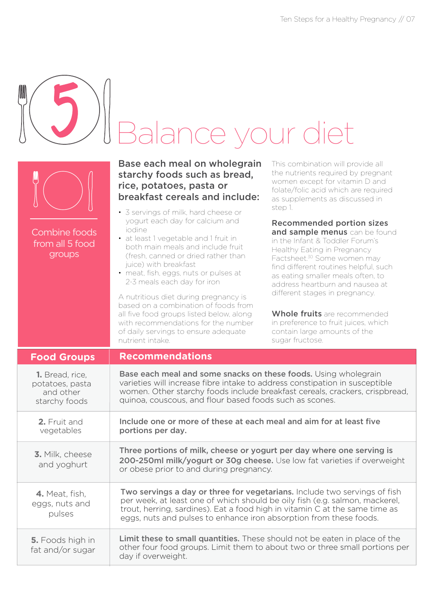| <b>Combine foods</b><br>from all 5 food<br>groups                | Balance your diet<br>Base each meal on wholegrain<br>starchy foods such as bread,<br>rice, potatoes, pasta or<br>breakfast cereals and include:<br>• 3 servings of milk, hard cheese or<br>yogurt each day for calcium and<br>iodine<br>• at least 1 vegetable and 1 fruit in<br>both main meals and include fruit<br>(fresh, canned or dried rather than<br>juice) with breakfast<br>• meat, fish, eggs, nuts or pulses at<br>2-3 meals each day for iron<br>A nutritious diet during pregnancy is<br>based on a combination of foods from<br>all five food groups listed below, along<br>with recommendations for the number<br>of daily servings to ensure adequate<br>nutrient intake. | This combination will provide all<br>the nutrients required by pregnant<br>women except for vitamin D and<br>folate/folic acid which are required<br>as supplements as discussed in<br>step 1.<br><b>Recommended portion sizes</b><br>and sample menus can be found<br>in the Infant & Toddler Forum's<br>Healthy Eating in Pregnancy<br>Factsheet. <sup>30</sup> Some women may<br>find different routines helpful, such<br>as eating smaller meals often, to<br>address heartburn and nausea at<br>different stages in pregnancy.<br>Whole fruits are recommended<br>in preference to fruit juices, which<br>contain large amounts of the<br>sugar fructose. |
|------------------------------------------------------------------|--------------------------------------------------------------------------------------------------------------------------------------------------------------------------------------------------------------------------------------------------------------------------------------------------------------------------------------------------------------------------------------------------------------------------------------------------------------------------------------------------------------------------------------------------------------------------------------------------------------------------------------------------------------------------------------------|----------------------------------------------------------------------------------------------------------------------------------------------------------------------------------------------------------------------------------------------------------------------------------------------------------------------------------------------------------------------------------------------------------------------------------------------------------------------------------------------------------------------------------------------------------------------------------------------------------------------------------------------------------------|
| <b>Food Groups</b>                                               | <b>Recommendations</b>                                                                                                                                                                                                                                                                                                                                                                                                                                                                                                                                                                                                                                                                     |                                                                                                                                                                                                                                                                                                                                                                                                                                                                                                                                                                                                                                                                |
| 1. Bread, rice,<br>potatoes, pasta<br>and other<br>starchy foods | Base each meal and some snacks on these foods. Using wholegrain<br>varieties will increase fibre intake to address constipation in susceptible<br>women. Other starchy foods include breakfast cereals, crackers, crispbread,<br>quinoa, couscous, and flour based foods such as scones.                                                                                                                                                                                                                                                                                                                                                                                                   |                                                                                                                                                                                                                                                                                                                                                                                                                                                                                                                                                                                                                                                                |
| 2. Fruit and<br>vegetables                                       | Include one or more of these at each meal and aim for at least five<br>portions per day.                                                                                                                                                                                                                                                                                                                                                                                                                                                                                                                                                                                                   |                                                                                                                                                                                                                                                                                                                                                                                                                                                                                                                                                                                                                                                                |
| 3. Milk, cheese<br>and yoghurt                                   | Three portions of milk, cheese or yogurt per day where one serving is<br>200-250ml milk/yogurt or 30g cheese. Use low fat varieties if overweight<br>or obese prior to and during pregnancy.                                                                                                                                                                                                                                                                                                                                                                                                                                                                                               |                                                                                                                                                                                                                                                                                                                                                                                                                                                                                                                                                                                                                                                                |
| 4. Meat, fish,<br>eggs, nuts and<br>pulses                       | Two servings a day or three for vegetarians. Include two servings of fish<br>per week, at least one of which should be oily fish (e.g. salmon, mackerel,<br>trout, herring, sardines). Eat a food high in vitamin C at the same time as<br>eggs, nuts and pulses to enhance iron absorption from these foods.                                                                                                                                                                                                                                                                                                                                                                              |                                                                                                                                                                                                                                                                                                                                                                                                                                                                                                                                                                                                                                                                |
| 5. Foods high in<br>fat and/or sugar                             | Limit these to small quantities. These should not be eaten in place of the<br>other four food groups. Limit them to about two or three small portions per<br>day if overweight.                                                                                                                                                                                                                                                                                                                                                                                                                                                                                                            |                                                                                                                                                                                                                                                                                                                                                                                                                                                                                                                                                                                                                                                                |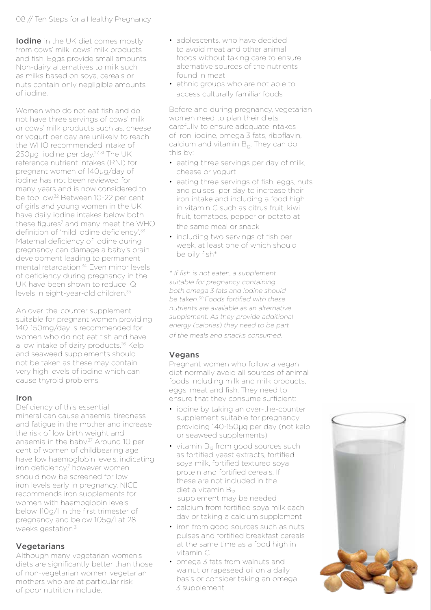**Iodine** in the UK diet comes mostly from cows' milk, cows' milk products and fish. Eggs provide small amounts. Non-dairy alternatives to milk such as milks based on soya, cereals or nuts contain only negligible amounts of iodine.

Women who do not eat fish and do not have three servings of cows' milk or cows' milk products such as, cheese or yogurt per day are unlikely to reach the WHO recommended intake of 250µg iodine per day.<sup>27, 31</sup> The UK reference nutrient intakes (RNI) for pregnant women of 140µg/day of iodine has not been reviewed for many years and is now considered to be too low.32 Between 10-22 per cent of girls and young women in the UK have daily iodine intakes below both these figures<sup>7</sup> and many meet the WHO definition of 'mild iodine deficiency'.<sup>33</sup> Maternal deficiency of iodine during pregnancy can damage a baby's brain development leading to permanent mental retardation.<sup>34</sup> Even minor levels of deficiency during pregnancy in the UK have been shown to reduce IQ levels in eight-year-old children.35

An over-the-counter supplement suitable for pregnant women providing 140-150mg/day is recommended for women who do not eat fish and have a low intake of dairy products.<sup>36</sup> Kelp and seaweed supplements should not be taken as these may contain very high levels of iodine which can cause thyroid problems.

#### Iron

Deficiency of this essential mineral can cause anaemia, tiredness and fatigue in the mother and increase the risk of low birth weight and anaemia in the baby.<sup>37</sup> Around 10 per cent of women of childbearing age have low haemoglobin levels, indicating iron deficiency,<sup>7</sup> however women should now be screened for low iron levels early in pregnancy. NICE recommends iron supplements for women with haemoglobin levels below 110g/l in the first trimester of pregnancy and below 105g/l at 28 weeks gestation.<sup>3</sup>

#### **Vegetarians**

Although many vegetarian women's diets are significantly better than those of non-vegetarian women, vegetarian mothers who are at particular risk of poor nutrition include:

- adolescents, who have decided to avoid meat and other animal foods without taking care to ensure alternative sources of the nutrients found in meat
- ethnic groups who are not able to access culturally familiar foods

Before and during pregnancy, vegetarian women need to plan their diets carefully to ensure adequate intakes of iron, iodine, omega 3 fats, riboflavin, calcium and vitamin  $B_{12}$ . They can do this by:

- eating three servings per day of milk, cheese or yogurt
- eating three servings of fish, eggs, nuts and pulses per day to increase their iron intake and including a food high in vitamin C such as citrus fruit, kiwi fruit, tomatoes, pepper or potato at the same meal or snack
- including two servings of fish per week, at least one of which should be oily fish\*

\* If fish is not eaten, a supplement suitable for pregnancy containing both omega 3 fats and iodine should be taken.<sup>30</sup> Foods fortified with these nutrients are available as an alternative supplement. As they provide additional energy (calories) they need to be part of the meals and snacks consumed.

### **Vegans**

Pregnant women who follow a vegan diet normally avoid all sources of animal foods including milk and milk products, eggs, meat and fish. They need to ensure that they consume sufficient:

- iodine by taking an over-the-counter supplement suitable for pregnancy providing 140-150µg per day (not kelp or seaweed supplements)
- $\cdot$  vitamin  $B_{12}$  from good sources such as fortified yeast extracts, fortified soya milk, fortified textured soya protein and fortified cereals. If these are not included in the diet a vitamin  $B_{12}$ supplement may be needed
- calcium from fortified soya milk each day or taking a calcium supplement
- iron from good sources such as nuts, pulses and fortified breakfast cereals at the same time as a food high in vitamin C
- omega 3 fats from walnuts and walnut or rapeseed oil on a daily basis or consider taking an omega 3 supplement

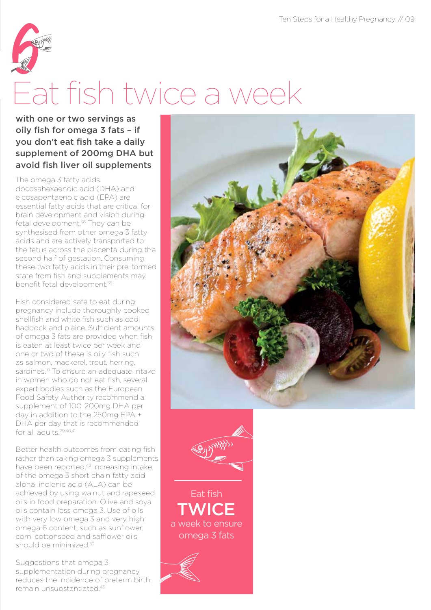

### Eat fish twice a week

with one or two servings as oily fish for omega 3 fats – if you don't eat fish take a daily supplement of 200mg DHA but avoid fish liver oil supplements

The omega 3 fatty acids docosahexaenoic acid (DHA) and eicosapentaenoic acid (EPA) are essential fatty acids that are critical for brain development and vision during fetal development.<sup>38</sup> They can be synthesised from other omega 3 fatty acids and are actively transported to the fetus across the placenta during the second half of gestation. Consuming these two fatty acids in their pre-formed state from fish and supplements may benefit fetal development.39

Fish considered safe to eat during pregnancy include thoroughly cooked shellfish and white fish such as cod, haddock and plaice. Sufficient amounts of omega 3 fats are provided when fish is eaten at least twice per week and one or two of these is oily fish such as salmon, mackerel, trout, herring, sardines.<sup>10</sup> To ensure an adequate intake in women who do not eat fish, several expert bodies such as the European Food Safety Authority recommend a supplement of 100-200mg DHA per day in addition to the 250mg EPA + DHA per day that is recommended for all adults<sup>29,40,41</sup>

Better health outcomes from eating fish rather than taking omega 3 supplements have been reported.42 Increasing intake of the omega 3 short chain fatty acid alpha linolenic acid (ALA) can be achieved by using walnut and rapeseed oils in food preparation. Olive and soya oils contain less omega 3. Use of oils with very low omega 3 and very high omega 6 content, such as sunflower, corn, cottonseed and safflower oils should be minimized<sup>39</sup>

Suggestions that omega 3 supplementation during pregnancy reduces the incidence of preterm birth, remain unsubstantiated<sup>43</sup>





Eat fish **TWICE** a week to ensure omega 3 fats

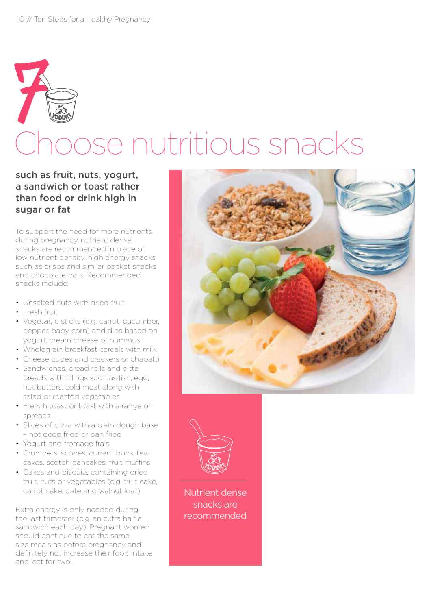## Choose nutritious snacks 7

### such as fruit, nuts, yogurt, a sandwich or toast rather than food or drink high in sugar or fat

To support the need for more nutrients during pregnancy, nutrient dense snacks are recommended in place of low nutrient density, high energy snacks such as crisps and similar packet snacks and chocolate bars. Recommended snacks include:

- Unsalted nuts with dried fruit
- Fresh fruit
- Vegetable sticks (e.g. carrot, cucumber, pepper, baby corn) and dips based on yogurt, cream cheese or hummus
- Wholegrain breakfast cereals with milk
- Cheese cubes and crackers or chapatti
- Sandwiches, bread rolls and pitta breads with fillings such as fish, egg, nut butters, cold meat along with salad or roasted vegetables
- French toast or toast with a range of spreads
- Slices of pizza with a plain dough base – not deep fried or pan fried
- Yogurt and fromage frais
- Crumpets, scones, currant buns, teacakes, scotch pancakes, fruit muffins
- Cakes and biscuits containing dried fruit, nuts or vegetables (e.g. fruit cake, carrot cake, date and walnut loaf)

Extra energy is only needed during the last trimester (e.g. an extra half a sandwich each day). Pregnant women should continue to eat the same size meals as before pregnancy and definitely not increase their food intake and 'eat for two'.





Nutrient dense snacks are recommended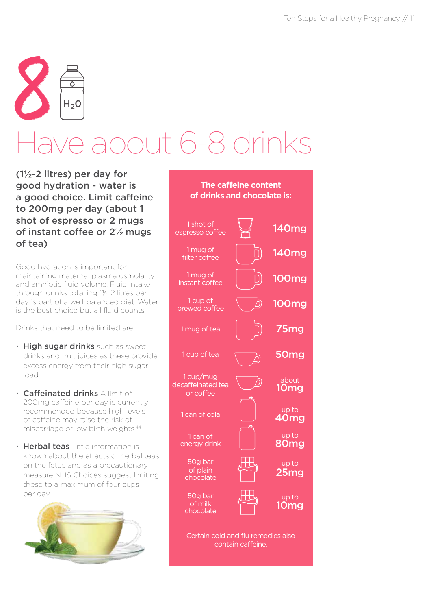

### ave about 6-8 drinks

(1½-2 litres) per day for good hydration - water is a good choice. Limit caffeine to 200mg per day (about 1 shot of espresso or 2 mugs of instant coffee or 2½ mugs of tea)

Good hydration is important for maintaining maternal plasma osmolality and amniotic fluid volume. Fluid intake through drinks totalling 1½-2 litres per day is part of a well-balanced diet. Water is the best choice but all fluid counts.

Drinks that need to be limited are:

- High sugar drinks such as sweet drinks and fruit juices as these provide excess energy from their high sugar load
- Caffeinated drinks A limit of 200mg caffeine per day is currently recommended because high levels of caffeine may raise the risk of miscarriage or low birth weights.44
- Herbal teas Little information is known about the effects of herbal teas on the fetus and as a precautionary measure NHS Choices suggest limiting these to a maximum of four cups per day.



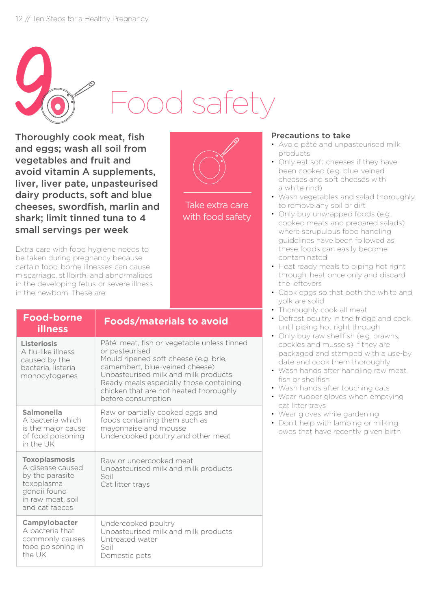

Thoroughly cook meat, fish and eggs; wash all soil from vegetables and fruit and avoid vitamin A supplements, liver, liver pate, unpasteurised dairy products, soft and blue cheeses, swordfish, marlin and shark; limit tinned tuna to 4 small servings per week

Extra care with food hygiene needs to be taken during pregnancy because certain food-borne illnesses can cause miscarriage, stillbirth, and abnormalities in the developing fetus or severe illness in the newborn. These are:

| ۲ |
|---|
|   |

Take extra care with food safety

### Precautions to take

- Avoid pâté and unpasteurised milk products
- Only eat soft cheeses if they have been cooked (e.g. blue-veined cheeses and soft cheeses with a white rind)
- Wash vegetables and salad thoroughly to remove any soil or dirt
- Only buy unwrapped foods (e.g. cooked meats and prepared salads) where scrupulous food handling guidelines have been followed as these foods can easily become contaminated
- Heat ready meals to piping hot right through; heat once only and discard the leftovers
- Cook eggs so that both the white and yolk are solid
- Thoroughly cook all meat
- Defrost poultry in the fridge and cook until piping hot right through
- Only buy raw shellfish (e.g. prawns, cockles and mussels) if they are packaged and stamped with a use-by date and cook them thoroughly
- Wash hands after handling raw meat, fish or shellfish
- Wash hands after touching cats
- Wear rubber gloves when emptying cat litter trays
- Wear gloves while gardening
- Don't help with lambing or milking ewes that have recently given birth

| <b>Food-borne</b><br><b>illness</b>                                                                                              | <b>Foods/materials to avoid</b>                                                                                                                                                                                                                                                             |
|----------------------------------------------------------------------------------------------------------------------------------|---------------------------------------------------------------------------------------------------------------------------------------------------------------------------------------------------------------------------------------------------------------------------------------------|
| Listeriosis<br>A flu-like illness<br>caused by the<br>bacteria, listeria<br>monocytogenes                                        | Pâté: meat, fish or vegetable unless tinned<br>or pasteurised<br>Mould ripened soft cheese (e.g. brie,<br>camembert, blue-veined cheese)<br>Unpasteurised milk and milk products<br>Ready meals especially those containing<br>chicken that are not heated thoroughly<br>before consumption |
| Salmonella<br>A bacteria which<br>is the major cause<br>of food poisoning<br>in the UK                                           | Raw or partially cooked eggs and<br>foods containing them such as<br>mayonnaise and mousse<br>Undercooked poultry and other meat                                                                                                                                                            |
| <b>Toxoplasmosis</b><br>A disease caused<br>by the parasite<br>toxoplasma<br>gondii found<br>in raw meat, soil<br>and cat faeces | Raw or undercooked meat<br>Unpasteurised milk and milk products<br>Soil<br>Cat litter trays                                                                                                                                                                                                 |
| Campylobacter<br>A bacteria that<br>commonly causes<br>food poisoning in<br>the UK                                               | Undercooked poultry<br>Unpasteurised milk and milk products<br>Untreated water<br>Soil<br>Domestic pets                                                                                                                                                                                     |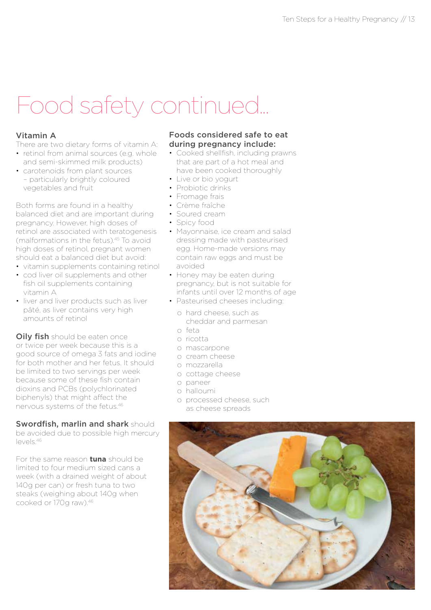### Food safety continued...

### Vitamin A

There are two dietary forms of vitamin A:

- retinol from animal sources (e.g. whole and semi-skimmed milk products)
- carotenoids from plant sources – particularly brightly coloured vegetables and fruit

Both forms are found in a healthy balanced diet and are important during pregnancy. However, high doses of retinol are associated with teratogenesis (malformations in the fetus).45 To avoid high doses of retinol, pregnant women should eat a balanced diet but avoid:

- vitamin supplements containing retinol
- cod liver oil supplements and other fish oil supplements containing vitamin A
- liver and liver products such as liver pâté, as liver contains very high amounts of retinol

**Oily fish** should be eaten once or twice per week because this is a good source of omega 3 fats and iodine for both mother and her fetus. It should be limited to two servings per week because some of these fish contain dioxins and PCBs (polychlorinated biphenyls) that might affect the nervous systems of the fetus.46

### Swordfish, marlin and shark should

be avoided due to possible high mercury  $|\rho_V\rho|$ s. 46

For the same reason **tuna** should be limited to four medium sized cans a week (with a drained weight of about 140g per can) or fresh tuna to two steaks (weighing about 140g when cooked or 170g raw).46

#### Foods considered safe to eat during pregnancy include:

- Cooked shellfish, including prawns that are part of a hot meal and have been cooked thoroughly
- Live or bio yogurt
- Probiotic drinks
- Fromage frais
- Crème fraîche
- Soured cream
- Spicy food
- Mayonnaise, ice cream and salad dressing made with pasteurised egg. Home-made versions may contain raw eggs and must be avoided
- Honey may be eaten during pregnancy, but is not suitable for infants until over 12 months of age
- Pasteurised cheeses including:
	- o hard cheese, such as cheddar and parmesan
	- o feta
	- o ricotta
	- o mascarpone
	- o cream cheese
	- o mozzarella
	- o cottage cheese
	- o paneer
	- o halloumi
	- o processed cheese, such as cheese spreads

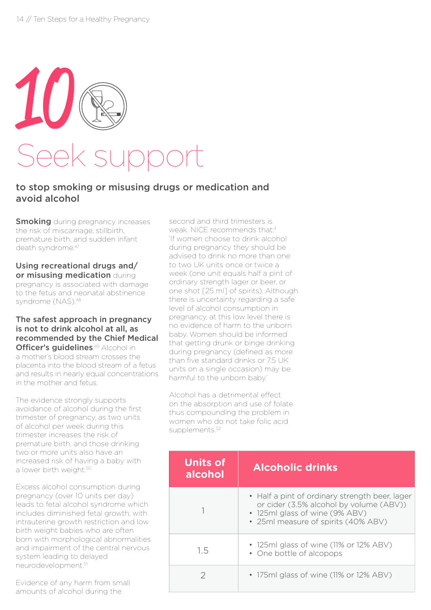

### to stop smoking or misusing drugs or medication and avoid alcohol

**Smoking** during pregnancy increases the risk of miscarriage, stillbirth, premature birth, and sudden infant death syndrome.<sup>47</sup>

### Using recreational drugs and/ or misusing medication during pregnancy is associated with damage

to the fetus and neonatal abstinence syndrome (NAS).48

#### The safest approach in pregnancy is not to drink alcohol at all, as recommended by the Chief Medical Officer's guidelines.<sup>49</sup> Alcohol in a mother's blood stream crosses the placenta into the blood stream of a fetus and results in nearly equal concentrations

The evidence strongly supports avoidance of alcohol during the first trimester of pregnancy, as two units of alcohol per week during this trimester increases the risk of premature birth, and those drinking two or more units also have an increased risk of having a baby with a lower birth weight.<sup>50</sup>

in the mother and fetus.

Excess alcohol consumption during pregnancy (over 10 units per day) leads to fetal alcohol syndrome which includes diminished fetal growth, with intrauterine growth restriction and low birth weight babies who are often born with morphological abnormalities and impairment of the central nervous system leading to delayed neurodevelopment.51

Evidence of any harm from small amounts of alcohol during the

second and third trimesters is weak. NICE recommends that:3 'If women choose to drink alcohol during pregnancy they should be advised to drink no more than one to two UK units once or twice a week (one unit equals half a pint of ordinary strength lager or beer, or one shot [25 ml] of spirits). Although there is uncertainty regarding a safe level of alcohol consumption in pregnancy, at this low level there is no evidence of harm to the unborn baby. Women should be informed that getting drunk or binge drinking during pregnancy (defined as more than five standard drinks or 7.5 UK units on a single occasion) may be harmful to the unborn baby.'

Alcohol has a detrimental effect on the absorption and use of folate thus compounding the problem in women who do not take folic acid supplements.<sup>52</sup>

| <b>Units of</b><br>alcohol | <b>Alcoholic drinks</b>                                                                                                                                            |  |
|----------------------------|--------------------------------------------------------------------------------------------------------------------------------------------------------------------|--|
|                            | • Half a pint of ordinary strength beer, lager<br>or cider (3.5% alcohol by volume (ABV))<br>• 125ml glass of wine (9% ABV)<br>• 25ml measure of spirits (40% ABV) |  |
| 1.5                        | • 125ml glass of wine (11% or 12% ABV)<br>• One bottle of alcopops                                                                                                 |  |
|                            | • 175ml glass of wine (11% or 12% ABV)                                                                                                                             |  |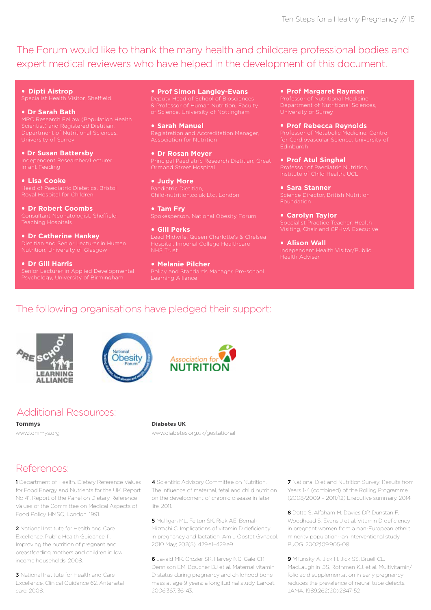The Forum would like to thank the many health and childcare professional bodies and expert medical reviewers who have helped in the development of this document.

**. Dipti Aistrop**

#### **. Dr Sarah Bath**

**. Dr Susan Battersby**

**. Lisa Cooke**

**. Dr Robert Coombs**

**. Dr Catherine Hankey**

**. Dr Gill Harris** Senior Lecturer in Applied Developmental **. Prof Simon Langley-Evans** of Science, University of Nottingham

**. Sarah Manuel** Association for Nutrition

**. Dr Rosan Meyer** Principal Paediatric Research Dietitian, Great Ormond Street Hospital

**. Judy More** Child-nutrition.co.uk Ltd, London

**. Tam Fry**

**. Gill Perks**

**. Melanie Pilcher** Learning Alliance

**. Prof Margaret Rayman** Department of Nutritional Sciences,

**. Prof Rebecca Reynolds**

for Cardiovascular Science, University of Edinburgh

**. Prof Atul Singhal**

**. Sara Stanner** Science Director, British Nutrition Foundation

**. Carolyn Taylor**

**. Alison Wall** Health Adviser

### The following organisations have pledged their support:





### Additional Resources:

**Tommys**  www.tommys.org

www.diabetes.org.uk/gestational

Association fo **NUTRITI** 

**Diabetes UK**

life. 2011.

### References:

1 Department of Health. Dietary Reference Values for Food Energy and Nutrients for the UK. Report No 41. Report of the Panel on Dietary Reference Values of the Committee on Medical Aspects of Food Policy. HMSO, London. 1991.

2 National Institute for Health and Care Excellence. Public Health Guidance 11. Improving the nutrition of pregnant and breastfeeding mothers and children in low income households. 2008.

3 National Institute for Health and Care Excellence. Clinical Guidance 62. Antenatal care. 2008.

4 Scientific Advisory Committee on Nutrition. The influence of maternal, fetal and child nutrition

on the development of chronic disease in later

5 Mulligan ML, Felton SK, Riek AE, Bernal-Mizrachi C. Implications of vitamin D deficiency in pregnancy and lactation. Am J Obstet Gynecol. 2010 May; 202(5): 429.e1–429.e9.

6 Javaid MK, Crozier SR, Harvey NC, Gale CR, Dennison EM, Boucher BJ et al. Maternal vitamin D status during pregnancy and childhood bone mass at age 9 years: a longitudinal study. Lancet. 2006;367, 36-43.

7 National Diet and Nutrition Survey: Results from Years 1-4 (combined) of the Rolling Programme (2008/2009 – 2011/12) Executive summary. 2014.

8 Datta S, Alfaham M, Davies DP, Dunstan F, Woodhead S, Evans J et al. Vitamin D deficiency in pregnant women from a non-European ethnic minority population--an interventional study. BJOG. 2002;109:905-08

9 Milunsky A, Jick H, Jick SS, Bruell CL, MacLaughlin DS, Rothman KJ, et al. Multivitamin/ folic acid supplementation in early pregnancy reduces the prevalence of neural tube defects. JAMA. 1989;262(20):2847-52